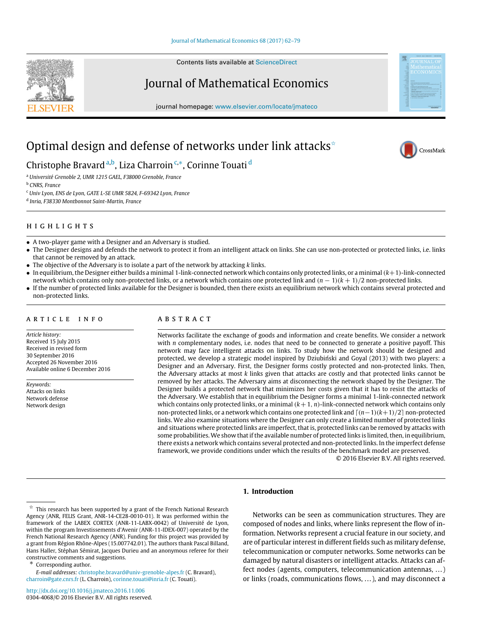#### [Journal of Mathematical Economics 68 \(2017\) 62–79](http://dx.doi.org/10.1016/j.jmateco.2016.11.006)

Contents lists available at [ScienceDirect](http://www.elsevier.com/locate/jmateco)

### Journal of Mathematical Economics

journal homepage: [www.elsevier.com/locate/jmateco](http://www.elsevier.com/locate/jmateco)

# Optimal design and defense of networks under link attacks<sup>\*</sup>

Christophe Bravard <sup>[a,](#page-0-1)[b](#page-0-2)</sup>, Liza Charroin <sup>[c,](#page-0-3)</sup>\*, Corinne Touati <sup>[d](#page-0-5)</sup>

<span id="page-0-1"></span><sup>a</sup> *Université Grenoble 2, UMR 1215 GAEL, F38000 Grenoble, France*

<span id="page-0-2"></span><sup>b</sup> *CNRS, France*

<span id="page-0-3"></span><sup>c</sup> *Univ Lyon, ENS de Lyon, GATE L-SE UMR 5824, F-69342 Lyon, France*

<span id="page-0-5"></span>d *Inria, F38330 Montbonnot Saint-Martin, France*

#### h i g h l i g h t s

- A two-player game with a Designer and an Adversary is studied.
- The Designer designs and defends the network to protect it from an intelligent attack on links. She can use non-protected or protected links, i.e. links that cannot be removed by an attack.
- The objective of the Adversary is to isolate a part of the network by attacking *k* links.
- In equilibrium, the Designer either builds a minimal 1-link-connected network which contains only protected links, or a minimal(*k*+1)-link-connected network which contains only non-protected links, or a network which contains one protected link and (*n* − 1)(*k* + 1)/2 non-protected links.
- If the number of protected links available for the Designer is bounded, then there exists an equilibrium network which contains several protected and non-protected links.

#### ARTICLE INFO

*Article history:* Received 15 July 2015 Received in revised form 30 September 2016 Accepted 26 November 2016 Available online 6 December 2016

*Keywords:* Attacks on links Network defense Network design

### A B S T R A C T

Networks facilitate the exchange of goods and information and create benefits. We consider a network with *n* complementary nodes, i.e. nodes that need to be connected to generate a positive payoff. This network may face intelligent attacks on links. To study how the network should be designed and protected, we develop a strategic model inspired by Dziubiński and Goyal (2013) with two players: a Designer and an Adversary. First, the Designer forms costly protected and non-protected links. Then, the Adversary attacks at most *k* links given that attacks are costly and that protected links cannot be removed by her attacks. The Adversary aims at disconnecting the network shaped by the Designer. The Designer builds a protected network that minimizes her costs given that it has to resist the attacks of the Adversary. We establish that in equilibrium the Designer forms a minimal 1-link-connected network which contains only protected links, or a minimal  $(k+1, n)$ -link-connected network which contains only non-protected links, or a network which contains one protected link and ⌈(*n*−1)(*k*+1)/2⌉ non-protected links. We also examine situations where the Designer can only create a limited number of protected links and situations where protected links are imperfect, that is, protected links can be removed by attacks with some probabilities. We show that if the available number of protected links is limited, then, in equilibrium, there exists a network which contains several protected and non-protected links. In the imperfect defense framework, we provide conditions under which the results of the benchmark model are preserved.

© 2016 Elsevier B.V. All rights reserved.

#### **1. Introduction**

<span id="page-0-4"></span>Corresponding author.

*E-mail addresses:* [christophe.bravard@univ-grenoble-alpes.fr](mailto:christophe.bravard@univ-grenoble-alpes.fr) (C. Bravard), [charroin@gate.cnrs.fr](mailto:charroin@gate.cnrs.fr) (L. Charroin), [corinne.touati@inria.fr](mailto:corinne.touati@inria.fr) (C. Touati).

<http://dx.doi.org/10.1016/j.jmateco.2016.11.006> 0304-4068/© 2016 Elsevier B.V. All rights reserved.

Networks can be seen as communication structures. They are composed of nodes and links, where links represent the flow of information. Networks represent a crucial feature in our society, and are of particular interest in different fields such as military defense, telecommunication or computer networks. Some networks can be damaged by natural disasters or intelligent attacks. Attacks can affect nodes (agents, computers, telecommunication antennas, ...) or links (roads, communications flows, . . . ), and may disconnect a



<span id="page-0-0"></span> $\overrightarrow{x}$  This research has been supported by a grant of the French National Research Agency (ANR, FELIS Grant, ANR-14-CE28-0010-01). It was performed within the framework of the LABEX CORTEX (ANR-11-LABX-0042) of Université de Lyon, within the program Investissements d'Avenir (ANR-11-IDEX-007) operated by the French National Research Agency (ANR). Funding for this project was provided by a grant from Région Rhône-Alpes (15.007742.01). The authors thank Pascal Billand, Hans Haller, Stéphan Sémirat, Jacques Durieu and an anonymous referee for their constructive comments and suggestions.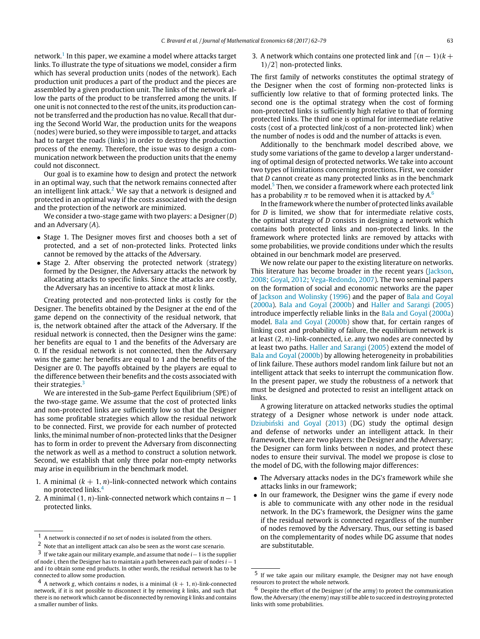network.<sup>[1](#page-1-0)</sup> In this paper, we examine a model where attacks target links. To illustrate the type of situations we model, consider a firm which has several production units (nodes of the network). Each production unit produces a part of the product and the pieces are assembled by a given production unit. The links of the network allow the parts of the product to be transferred among the units. If one unit is not connected to the rest of the units, its production cannot be transferred and the production has no value. Recall that during the Second World War, the production units for the weapons (nodes) were buried, so they were impossible to target, and attacks had to target the roads (links) in order to destroy the production process of the enemy. Therefore, the issue was to design a communication network between the production units that the enemy could not disconnect.

Our goal is to examine how to design and protect the network in an optimal way, such that the network remains connected after an intelligent link attack.<sup>[2](#page-1-1)</sup> We say that a network is designed and protected in an optimal way if the costs associated with the design and the protection of the network are minimized.

We consider a two-stage game with two players: a Designer (*D*) and an Adversary (*A*).

- Stage 1. The Designer moves first and chooses both a set of protected, and a set of non-protected links. Protected links cannot be removed by the attacks of the Adversary.
- Stage 2. After observing the protected network (strategy) formed by the Designer, the Adversary attacks the network by allocating attacks to specific links. Since the attacks are costly, the Adversary has an incentive to attack at most *k* links.

Creating protected and non-protected links is costly for the Designer. The benefits obtained by the Designer at the end of the game depend on the connectivity of the residual network, that is, the network obtained after the attack of the Adversary. If the residual network is connected, then the Designer wins the game: her benefits are equal to 1 and the benefits of the Adversary are 0. If the residual network is not connected, then the Adversary wins the game: her benefits are equal to 1 and the benefits of the Designer are 0. The payoffs obtained by the players are equal to the difference between their benefits and the costs associated with their strategies.<sup>[3](#page-1-2)</sup>

We are interested in the Sub-game Perfect Equilibrium (SPE) of the two-stage game. We assume that the cost of protected links and non-protected links are sufficiently low so that the Designer has some profitable strategies which allow the residual network to be connected. First, we provide for each number of protected links, the minimal number of non-protected links that the Designer has to form in order to prevent the Adversary from disconnecting the network as well as a method to construct a solution network. Second, we establish that only three polar non-empty networks may arise in equilibrium in the benchmark model.

- 1. A minimal  $(k + 1, n)$ -link-connected network which contains no protected links.[4](#page-1-3)
- 2. A minimal (1, *n*)-link-connected network which contains *n*−1 protected links.

3. A network which contains one protected link and  $\lceil (n-1)(k+1) \rceil$ 1)/2⌉ non-protected links.

The first family of networks constitutes the optimal strategy of the Designer when the cost of forming non-protected links is sufficiently low relative to that of forming protected links. The second one is the optimal strategy when the cost of forming non-protected links is sufficiently high relative to that of forming protected links. The third one is optimal for intermediate relative costs (cost of a protected link/cost of a non-protected link) when the number of nodes is odd and the number of attacks is even.

Additionally to the benchmark model described above, we study some variations of the game to develop a larger understanding of optimal design of protected networks. We take into account two types of limitations concerning protections. First, we consider that *D* cannot create as many protected links as in the benchmark model.<sup>[5](#page-1-4)</sup> Then, we consider a framework where each protected link has a probability  $\pi$  to be removed when it is attacked by  $A^6$  $A^6$ 

In the framework where the number of protected links available for *D* is limited, we show that for intermediate relative costs, the optimal strategy of *D* consists in designing a network which contains both protected links and non-protected links. In the framework where protected links are removed by attacks with some probabilities, we provide conditions under which the results obtained in our benchmark model are preserved.

We now relate our paper to the existing literature on networks. This literature has become broader in the recent years [\(Jackson,](#page--1-0) [2008;](#page--1-0) [Goyal,](#page--1-1) [2012;](#page--1-1) [Vega-Redondo,](#page--1-2) [2007\)](#page--1-2). The two seminal papers on the formation of social and economic networks are the paper of [Jackson](#page--1-3) [and](#page--1-3) [Wolinsky](#page--1-3) [\(1996\)](#page--1-3) and the paper of [Bala](#page--1-4) [and](#page--1-4) [Goyal](#page--1-4) [\(2000a\)](#page--1-4). [Bala](#page--1-5) [and](#page--1-5) [Goyal](#page--1-5) [\(2000b\)](#page--1-5) and [Haller](#page--1-6) [and](#page--1-6) [Sarangi](#page--1-6) [\(2005\)](#page--1-6) introduce imperfectly reliable links in the [Bala](#page--1-4) [and](#page--1-4) [Goyal](#page--1-4) [\(2000a\)](#page--1-4) model. [Bala](#page--1-5) [and](#page--1-5) [Goyal](#page--1-5) [\(2000b\)](#page--1-5) show that, for certain ranges of linking cost and probability of failure, the equilibrium network is at least (2, *n*)-link-connected, i.e. any two nodes are connected by at least two paths. [Haller](#page--1-6) [and](#page--1-6) [Sarangi](#page--1-6) [\(2005\)](#page--1-6) extend the model of [Bala](#page--1-5) [and](#page--1-5) [Goyal](#page--1-5) [\(2000b\)](#page--1-5) by allowing heterogeneity in probabilities of link failure. These authors model random link failure but not an intelligent attack that seeks to interrupt the communication flow. In the present paper, we study the robustness of a network that must be designed and protected to resist an intelligent attack on links.

A growing literature on attacked networks studies the optimal strategy of a Designer whose network is under node attack. [Dziubiński](#page--1-7) [and](#page--1-7) [Goyal](#page--1-7) [\(2013\)](#page--1-7) (DG) study the optimal design and defense of networks under an intelligent attack. In their framework, there are two players: the Designer and the Adversary; the Designer can form links between *n* nodes, and protect these nodes to ensure their survival. The model we propose is close to the model of DG, with the following major differences:

- The Adversary attacks nodes in the DG's framework while she attacks links in our framework;
- In our framework, the Designer wins the game if every node is able to communicate with any other node in the residual network. In the DG's framework, the Designer wins the game if the residual network is connected regardless of the number of nodes removed by the Adversary. Thus, our setting is based on the complementarity of nodes while DG assume that nodes are substitutable.

<span id="page-1-0"></span><sup>1</sup> A network is connected if no set of nodes is isolated from the others.

<span id="page-1-1"></span><sup>2</sup> Note that an intelligent attack can also be seen as the worst case scenario.

<span id="page-1-2"></span><sup>3</sup> If we take again our military example, and assume that node *i*−1 is the supplier of node *i*, then the Designer has to maintain a path between each pair of nodes *i*−1 and *i* to obtain some end products. In other words, the residual network has to be connected to allow some production.

<span id="page-1-3"></span>A network *g*, which contains *n* nodes, is a minimal  $(k + 1, n)$ -link-connected network, if it is not possible to disconnect it by removing *k* links, and such that there is no network which cannot be disconnected by removing *k* links and contains a smaller number of links.

<span id="page-1-4"></span>If we take again our military example, the Designer may not have enough resources to protect the whole network.

<span id="page-1-5"></span> $6$  Despite the effort of the Designer (of the army) to protect the communication flow, the Adversary (the enemy) may still be able to succeed in destroying protected links with some probabilities.